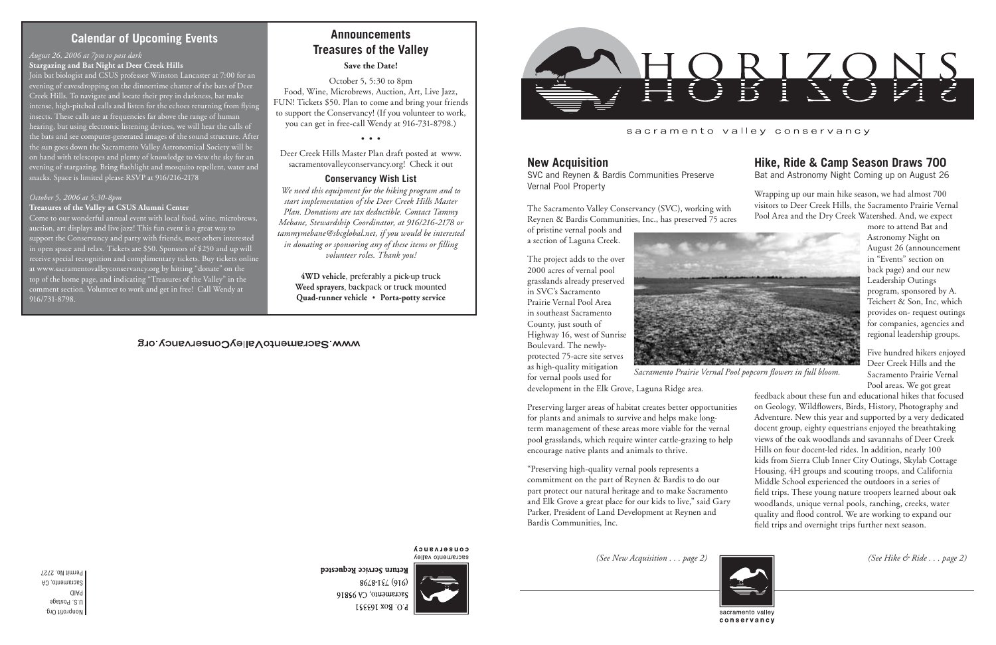Nonprofit Org. U.S. Postage PAID Sacramento, CA Permit No. 2727



#### sacramento valley conservancy

## **Calendar of Upcoming Events**

*(See New Acquisition . . . page 2) (See Hike & Ride . . . page 2)*



**COUSELASUCA** sacramento valley

Return Service Requested 8648-194 (916) Sacramento, CA 95816 P.O. Box 163551

*Sacramento Prairie Vernal Pool popcorn flowers in full bloom.*

## **Hike, Ride & Camp Season Draws 700**

Bat and Astronomy Night Coming up on August 26

Wrapping up our main hike season, we had almost 700 visitors to Deer Creek Hills, the Sacramento Prairie Vernal Pool Area and the Dry Creek Watershed. And, we expect

more to attend Bat and Astronomy Night on August 26 (announcement in "Events" section on back page) and our new Leadership Outings program, sponsored by A. Teichert & Son, Inc, which provides on- request outings for companies, agencies and regional leadership groups.

Five hundred hikers enjoyed Deer Creek Hills and the Sacramento Prairie Vernal Pool areas. We got great

feedback about these fun and educational hikes that focused on Geology, Wildflowers, Birds, History, Photography and Adventure. New this year and supported by a very dedicated docent group, eighty equestrians enjoyed the breathtaking views of the oak woodlands and savannahs of Deer Creek Hills on four docent-led rides. In addition, nearly 100 kids from Sierra Club Inner City Outings, Skylab Cottage Housing, 4H groups and scouting troops, and California Middle School experienced the outdoors in a series of field trips. These young nature troopers learned about oak woodlands, unique vernal pools, ranching, creeks, water quality and flood control. We are working to expand our field trips and overnight trips further next season.





### **New Acquisition**

SVC and Reynen & Bardis Communities Preserve Vernal Pool Property

The Sacramento Valley Conservancy (SVC), working with Reynen & Bardis Communities, Inc., has preserved 75 acres

of pristine vernal pools and a section of Laguna Creek.

The project adds to the over 2000 acres of vernal pool grasslands already preserved in SVC's Sacramento Prairie Vernal Pool Area in southeast Sacramento County, just south of Highway 16, west of Sunrise Boulevard. The newlyprotected 75-acre site serves as high-quality mitigation

for vernal pools used for



development in the Elk Grove, Laguna Ridge area.

Join bat biologist and CSUS professor Winston Lancaster at 7:00 for an evening of eavesdropping on the dinnertime chatter of the bats of Deer Creek Hills. To navigate and locate their prey in darkness, bat make intense, high-pitched calls and listen for the echoes returning from flying insects. These calls are at frequencies far above the range of human hearing, but using electronic listening devices, we will hear the calls of the bats and see computer-generated images of the sound structure. After the sun goes down the Sacramento Valley Astronomical Society will be on hand with telescopes and plenty of knowledge to view the sky for an evening of stargazing. Bring flashlight and mosquito repellent, water and snacks. Space is limited please RSVP at 916/216-2178

> Preserving larger areas of habitat creates better opportunities for plants and animals to survive and helps make longterm management of these areas more viable for the vernal pool grasslands, which require winter cattle-grazing to help encourage native plants and animals to thrive.

"Preserving high-quality vernal pools represents a commitment on the part of Reynen & Bardis to do our part protect our natural heritage and to make Sacramento and Elk Grove a great place for our kids to live," said Gary Parker, President of Land Development at Reynen and Bardis Communities, Inc.

# **Announcements Treasures of the Valley**

#### **Save the Date!**

October 5, 5:30 to 8pm Food, Wine, Microbrews, Auction, Art, Live Jazz, FUN! Tickets \$50. Plan to come and bring your friends to support the Conservancy! (If you volunteer to work, you can get in free-call Wendy at 916-731-8798.)

• • •

Deer Creek Hills Master Plan draft posted at www. sacramentovalleyconservancy.org! Check it out

### **Conservancy Wish List**

*We need this equipment for the hiking program and to start implementation of the Deer Creek Hills Master Plan. Donations are tax deductible. Contact Tammy Mebane, Stewardship Coordinator, at 916/216-2178 or tammymebane@sbcglobal.net, if you would be interested in donating or sponsoring any of these items or filling volunteer roles. Thank you!*

**4WD vehicle**, preferably a pick-up truck **Weed sprayers**, backpack or truck mounted **Quad-runner vehicle** • **Porta-potty service**

### www.SacramentoValleyConservancy.org

#### *August 26, 2006 at 7pm to past dark*

#### **Stargazing and Bat Night at Deer Creek Hills**

#### *October 5, 2006 at 5:30-8pm*

#### **Treasures of the Valley at CSUS Alumni Center**

Come to our wonderful annual event with local food, wine, microbrews, auction, art displays and live jazz! This fun event is a great way to support the Conservancy and party with friends, meet others interested in open space and relax. Tickets are \$50. Sponsors of \$250 and up will receive special recognition and complimentary tickets. Buy tickets online at www.sacramentovalleyconservancy.org by hitting "donate" on the top of the home page, and indicating "Treasures of the Valley" in the comment section. Volunteer to work and get in free! Call Wendy at 916/731-8798.